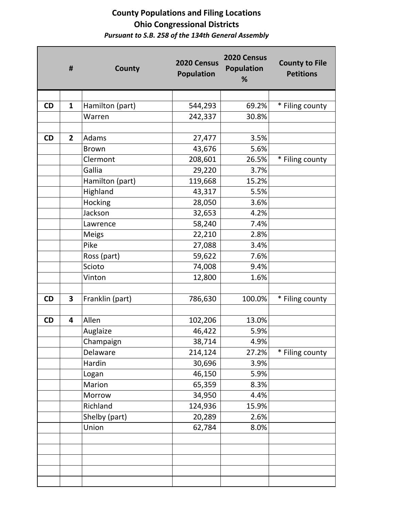|    | #                       | County          | 2020 Census<br><b>Population</b> | 2020 Census<br><b>Population</b><br>% | <b>County to File</b><br><b>Petitions</b> |
|----|-------------------------|-----------------|----------------------------------|---------------------------------------|-------------------------------------------|
|    |                         |                 |                                  |                                       |                                           |
| CD | $\mathbf{1}$            | Hamilton (part) | 544,293                          | 69.2%                                 | * Filing county                           |
|    |                         | Warren          | 242,337                          | 30.8%                                 |                                           |
|    |                         |                 |                                  |                                       |                                           |
| CD | $\overline{2}$          | Adams           | 27,477                           | 3.5%                                  |                                           |
|    |                         | <b>Brown</b>    | 43,676                           | 5.6%                                  |                                           |
|    |                         | Clermont        | 208,601                          | 26.5%                                 | * Filing county                           |
|    |                         | Gallia          | 29,220                           | 3.7%                                  |                                           |
|    |                         | Hamilton (part) | 119,668                          | 15.2%                                 |                                           |
|    |                         | Highland        | 43,317                           | 5.5%                                  |                                           |
|    |                         | Hocking         | 28,050                           | 3.6%                                  |                                           |
|    |                         | Jackson         | 32,653                           | 4.2%                                  |                                           |
|    |                         | Lawrence        | 58,240                           | 7.4%                                  |                                           |
|    |                         | <b>Meigs</b>    | 22,210                           | 2.8%                                  |                                           |
|    |                         | Pike            | 27,088                           | 3.4%                                  |                                           |
|    |                         | Ross (part)     | 59,622                           | 7.6%                                  |                                           |
|    |                         | Scioto          | 74,008                           | 9.4%                                  |                                           |
|    |                         | Vinton          | 12,800                           | 1.6%                                  |                                           |
|    |                         |                 |                                  |                                       |                                           |
| CD | $\overline{\mathbf{3}}$ | Franklin (part) | 786,630                          | 100.0%                                | * Filing county                           |
|    |                         |                 |                                  |                                       |                                           |
| CD | $\overline{\mathbf{4}}$ | Allen           | 102,206                          | 13.0%                                 |                                           |
|    |                         | Auglaize        | 46,422                           | 5.9%                                  |                                           |
|    |                         | Champaign       | 38,714                           | 4.9%                                  |                                           |
|    |                         | Delaware        | 214,124                          | 27.2%                                 | * Filing county                           |
|    |                         | Hardin          | 30,696                           | 3.9%                                  |                                           |
|    |                         | Logan           | 46,150                           | 5.9%                                  |                                           |
|    |                         | Marion          | 65,359                           | 8.3%                                  |                                           |
|    |                         | Morrow          | 34,950                           | 4.4%                                  |                                           |
|    |                         | Richland        | 124,936                          | 15.9%                                 |                                           |
|    |                         | Shelby (part)   | 20,289                           | 2.6%                                  |                                           |
|    |                         | Union           | 62,784                           | 8.0%                                  |                                           |
|    |                         |                 |                                  |                                       |                                           |
|    |                         |                 |                                  |                                       |                                           |
|    |                         |                 |                                  |                                       |                                           |
|    |                         |                 |                                  |                                       |                                           |
|    |                         |                 |                                  |                                       |                                           |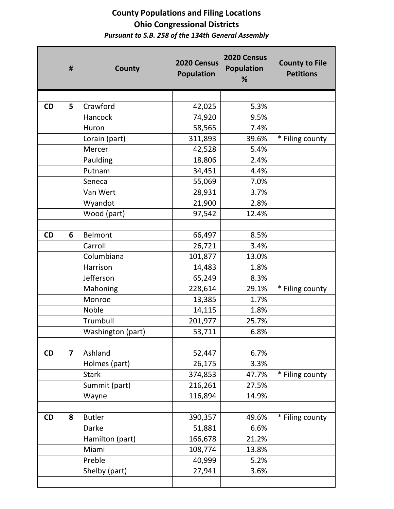|           | #                       | County            | 2020 Census<br><b>Population</b> | 2020 Census<br><b>Population</b><br>% | <b>County to File</b><br><b>Petitions</b> |
|-----------|-------------------------|-------------------|----------------------------------|---------------------------------------|-------------------------------------------|
|           |                         |                   |                                  |                                       |                                           |
| CD        | 5                       | Crawford          | 42,025                           | 5.3%                                  |                                           |
|           |                         | Hancock           | 74,920                           | 9.5%                                  |                                           |
|           |                         | Huron             | 58,565                           | 7.4%                                  |                                           |
|           |                         | Lorain (part)     | 311,893                          | 39.6%                                 | * Filing county                           |
|           |                         | Mercer            | 42,528                           | 5.4%                                  |                                           |
|           |                         | Paulding          | 18,806                           | 2.4%                                  |                                           |
|           |                         | Putnam            | 34,451                           | 4.4%                                  |                                           |
|           |                         | Seneca            | 55,069                           | 7.0%                                  |                                           |
|           |                         | Van Wert          | 28,931                           | 3.7%                                  |                                           |
|           |                         | Wyandot           | 21,900                           | 2.8%                                  |                                           |
|           |                         | Wood (part)       | 97,542                           | 12.4%                                 |                                           |
|           |                         |                   |                                  |                                       |                                           |
| CD        | 6                       | <b>Belmont</b>    | 66,497                           | 8.5%                                  |                                           |
|           |                         | Carroll           | 26,721                           | 3.4%                                  |                                           |
|           |                         | Columbiana        | 101,877                          | 13.0%                                 |                                           |
|           |                         | Harrison          | 14,483                           | 1.8%                                  |                                           |
|           |                         | Jefferson         | 65,249                           | 8.3%                                  |                                           |
|           |                         | Mahoning          | 228,614                          | 29.1%                                 | * Filing county                           |
|           |                         | Monroe            | 13,385                           | 1.7%                                  |                                           |
|           |                         | Noble             | 14,115                           | 1.8%                                  |                                           |
|           |                         | Trumbull          | 201,977                          | 25.7%                                 |                                           |
|           |                         | Washington (part) | 53,711                           | 6.8%                                  |                                           |
|           |                         |                   |                                  |                                       |                                           |
| CD        | $\overline{\mathbf{z}}$ | Ashland           | 52,447                           | 6.7%                                  |                                           |
|           |                         | Holmes (part)     | 26,175                           | 3.3%                                  |                                           |
|           |                         | <b>Stark</b>      | 374,853                          | 47.7%                                 | * Filing county                           |
|           |                         | Summit (part)     | 216,261                          | 27.5%                                 |                                           |
|           |                         | Wayne             | 116,894                          | 14.9%                                 |                                           |
|           |                         |                   |                                  |                                       |                                           |
| <b>CD</b> | 8                       | <b>Butler</b>     | 390,357                          | 49.6%                                 | * Filing county                           |
|           |                         | Darke             | 51,881                           | 6.6%                                  |                                           |
|           |                         | Hamilton (part)   | 166,678                          | 21.2%                                 |                                           |
|           |                         | Miami             | 108,774                          | 13.8%                                 |                                           |
|           |                         | Preble            | 40,999                           | 5.2%                                  |                                           |
|           |                         | Shelby (part)     | 27,941                           | 3.6%                                  |                                           |
|           |                         |                   |                                  |                                       |                                           |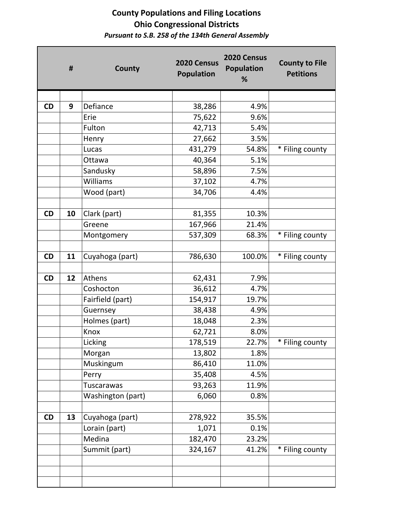|           | #  | County            | 2020 Census<br><b>Population</b> | 2020 Census<br><b>Population</b><br>% | <b>County to File</b><br><b>Petitions</b> |
|-----------|----|-------------------|----------------------------------|---------------------------------------|-------------------------------------------|
|           |    |                   |                                  |                                       |                                           |
| <b>CD</b> | 9  | Defiance          | 38,286                           | 4.9%                                  |                                           |
|           |    | Erie              | 75,622                           | 9.6%                                  |                                           |
|           |    | Fulton            | 42,713                           | 5.4%                                  |                                           |
|           |    | Henry             | 27,662                           | 3.5%                                  |                                           |
|           |    | Lucas             | 431,279                          | 54.8%                                 | * Filing county                           |
|           |    | Ottawa            | 40,364                           | 5.1%                                  |                                           |
|           |    | Sandusky          | 58,896                           | 7.5%                                  |                                           |
|           |    | Williams          | 37,102                           | 4.7%                                  |                                           |
|           |    | Wood (part)       | 34,706                           | 4.4%                                  |                                           |
|           |    |                   |                                  |                                       |                                           |
| <b>CD</b> | 10 | Clark (part)      | 81,355                           | 10.3%                                 |                                           |
|           |    | Greene            | 167,966                          | 21.4%                                 |                                           |
|           |    | Montgomery        | 537,309                          | 68.3%                                 | * Filing county                           |
|           |    |                   |                                  |                                       |                                           |
| <b>CD</b> | 11 | Cuyahoga (part)   | 786,630                          | 100.0%                                | * Filing county                           |
|           |    |                   |                                  |                                       |                                           |
| <b>CD</b> | 12 | Athens            | 62,431                           | 7.9%                                  |                                           |
|           |    | Coshocton         | 36,612                           | 4.7%                                  |                                           |
|           |    | Fairfield (part)  | 154,917                          | 19.7%                                 |                                           |
|           |    | Guernsey          | 38,438                           | 4.9%                                  |                                           |
|           |    | Holmes (part)     | 18,048                           | 2.3%                                  |                                           |
|           |    | Knox              | 62,721                           | 8.0%                                  |                                           |
|           |    | Licking           | 178,519                          | 22.7%                                 | * Filing county                           |
|           |    | Morgan            | 13,802                           | 1.8%                                  |                                           |
|           |    | Muskingum         | 86,410                           | 11.0%                                 |                                           |
|           |    | Perry             | 35,408                           | 4.5%                                  |                                           |
|           |    | <b>Tuscarawas</b> | 93,263                           | 11.9%                                 |                                           |
|           |    | Washington (part) | 6,060                            | 0.8%                                  |                                           |
|           |    |                   |                                  |                                       |                                           |
| CD        | 13 | Cuyahoga (part)   | 278,922                          | 35.5%                                 |                                           |
|           |    | Lorain (part)     | 1,071                            | 0.1%                                  |                                           |
|           |    | Medina            | 182,470                          | 23.2%                                 |                                           |
|           |    | Summit (part)     | 324,167                          | 41.2%                                 | * Filing county                           |
|           |    |                   |                                  |                                       |                                           |
|           |    |                   |                                  |                                       |                                           |
|           |    |                   |                                  |                                       |                                           |